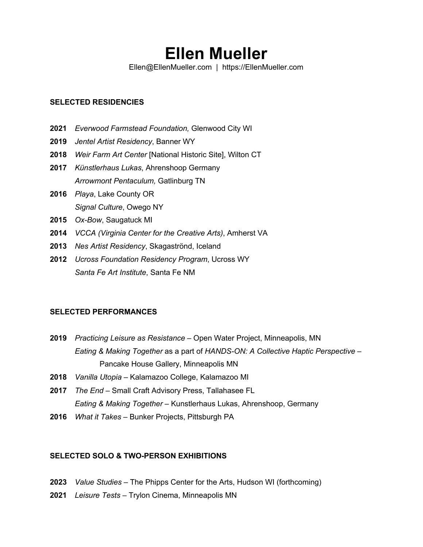# **Ellen Mueller**

Ellen@EllenMueller.com | https://EllenMueller.com

#### **SELECTED RESIDENCIES**

- **2021** *Everwood Farmstead Foundation,* Glenwood City WI
- **2019** *Jentel Artist Residency*, Banner WY
- **2018** *Weir Farm Art Center* [National Historic Site], Wilton CT
- **2017** *Künstlerhaus Lukas*, Ahrenshoop Germany *Arrowmont Pentaculum,* Gatlinburg TN
- **2016** *Playa*, Lake County OR *Signal Culture*, Owego NY
- **2015** *Ox-Bow*, Saugatuck MI
- **2014** *VCCA (Virginia Center for the Creative Arts)*, Amherst VA
- **2013** *Nes Artist Residency*, Skagaströnd, Iceland
- **2012** *Ucross Foundation Residency Program*, Ucross WY *Santa Fe Art Institute*, Santa Fe NM

# **SELECTED PERFORMANCES**

- **2019** *Practicing Leisure as Resistance* Open Water Project, Minneapolis, MN *Eating & Making Together* as a part of *HANDS-ON: A Collective Haptic Perspective* – Pancake House Gallery, Minneapolis MN
- **2018** *Vanilla Utopia* Kalamazoo College, Kalamazoo MI
- **2017** *The End* Small Craft Advisory Press, Tallahasee FL *Eating & Making Together* – Kunstlerhaus Lukas, Ahrenshoop, Germany
- **2016** *What it Takes –* Bunker Projects, Pittsburgh PA

# **SELECTED SOLO & TWO-PERSON EXHIBITIONS**

- **2023** *Value Studies* The Phipps Center for the Arts, Hudson WI (forthcoming)
- **2021** *Leisure Tests* Trylon Cinema, Minneapolis MN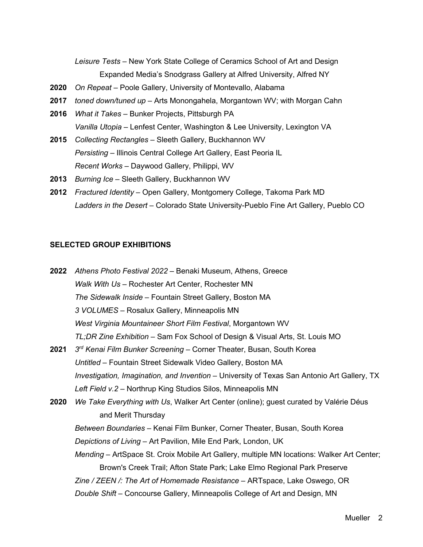*Leisure Tests* – New York State College of Ceramics School of Art and Design Expanded Media's Snodgrass Gallery at Alfred University, Alfred NY

- **2020** *On Repeat* Poole Gallery, University of Montevallo, Alabama
- **2017** *toned down/tuned up* Arts Monongahela, Morgantown WV; with Morgan Cahn
- **2016** *What it Takes –* Bunker Projects, Pittsburgh PA *Vanilla Utopia* – Lenfest Center, Washington & Lee University, Lexington VA
- **2015** *Collecting Rectangles* Sleeth Gallery, Buckhannon WV *Persisting* – Illinois Central College Art Gallery, East Peoria IL *Recent Works* – Daywood Gallery, Philippi, WV
- **2013** *Burning Ice* Sleeth Gallery, Buckhannon WV
- **2012** *Fractured Identity* Open Gallery, Montgomery College, Takoma Park MD *Ladders in the Desert* – Colorado State University-Pueblo Fine Art Gallery, Pueblo CO

#### **SELECTED GROUP EXHIBITIONS**

| 2022 | Athens Photo Festival 2022 - Benaki Museum, Athens, Greece                                  |
|------|---------------------------------------------------------------------------------------------|
|      | Walk With Us - Rochester Art Center, Rochester MN                                           |
|      | The Sidewalk Inside - Fountain Street Gallery, Boston MA                                    |
|      | 3 VOLUMES - Rosalux Gallery, Minneapolis MN                                                 |
|      | West Virginia Mountaineer Short Film Festival, Morgantown WV                                |
|      | TL;DR Zine Exhibition – Sam Fox School of Design & Visual Arts, St. Louis MO                |
| 2021 | 3 <sup>rd</sup> Kenai Film Bunker Screening – Corner Theater, Busan, South Korea            |
|      | Untitled – Fountain Street Sidewalk Video Gallery, Boston MA                                |
|      | Investigation, Imagination, and Invention – University of Texas San Antonio Art Gallery, TX |
|      | Left Field v.2 - Northrup King Studios Silos, Minneapolis MN                                |
| 2020 | We Take Everything with Us, Walker Art Center (online); guest curated by Valérie Déus       |
|      | and Merit Thursday                                                                          |
|      | Between Boundaries – Kenai Film Bunker, Corner Theater, Busan, South Korea                  |
|      | Depictions of Living - Art Pavilion, Mile End Park, London, UK                              |
|      | Mending – ArtSpace St. Croix Mobile Art Gallery, multiple MN locations: Walker Art Center;  |
|      | Brown's Creek Trail; Afton State Park; Lake Elmo Regional Park Preserve                     |
|      | Zine / ZEEN /: The Art of Homemade Resistance – ARTspace, Lake Oswego, OR                   |
|      | Double Shift – Concourse Gallery, Minneapolis College of Art and Design, MN                 |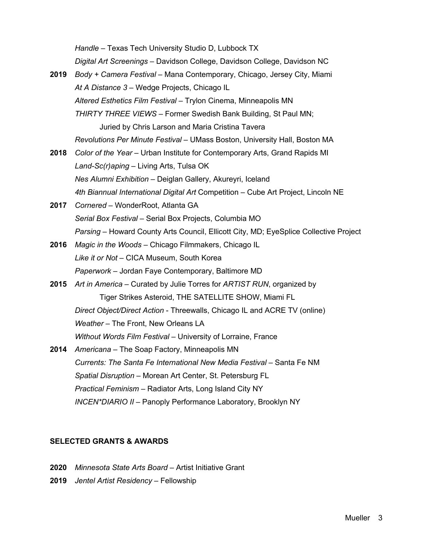*Handle* – Texas Tech University Studio D, Lubbock TX

*Digital Art Screenings* – Davidson College, Davidson College, Davidson NC

- **2019** *Body + Camera Festival* Mana Contemporary, Chicago, Jersey City, Miami *At A Distance 3* – Wedge Projects, Chicago IL *Altered Esthetics Film Festival* – Trylon Cinema, Minneapolis MN *THIRTY THREE VIEWS* – Former Swedish Bank Building, St Paul MN; Juried by Chris Larson and Maria Cristina Tavera *Revolutions Per Minute Festival* – UMass Boston, University Hall, Boston MA
- **2018** *Color of the Year* Urban Institute for Contemporary Arts, Grand Rapids MI *Land-Sc(r)aping* – Living Arts, Tulsa OK *Nes Alumni Exhibition* – Deiglan Gallery, Akureyri, Iceland *4th Biannual International Digital Art* Competition – Cube Art Project, Lincoln NE
- **2017** *Cornered* WonderRoot, Atlanta GA *Serial Box Festival* – Serial Box Projects, Columbia MO *Parsing* – Howard County Arts Council, Ellicott City, MD; EyeSplice Collective Project
- **2016** *Magic in the Woods* Chicago Filmmakers, Chicago IL *Like it or Not* – CICA Museum, South Korea *Paperwork* – Jordan Faye Contemporary, Baltimore MD
- **2015** *Art in America*  Curated by Julie Torres for *ARTIST RUN*, organized by Tiger Strikes Asteroid, THE SATELLITE SHOW, Miami FL *Direct Object/Direct Action* - Threewalls, Chicago IL and ACRE TV (online) *Weather* – The Front, New Orleans LA *Without Words Film Festival* – University of Lorraine, France
- **2014** *Americana* The Soap Factory, Minneapolis MN *Currents: The Santa Fe International New Media Festival* – Santa Fe NM *Spatial Disruption* – Morean Art Center, St. Petersburg FL *Practical Feminism* – Radiator Arts, Long Island City NY *INCEN\*DIARIO II* – Panoply Performance Laboratory, Brooklyn NY

#### **SELECTED GRANTS & AWARDS**

- **2020** *Minnesota State Arts Board* Artist Initiative Grant
- **2019** *Jentel Artist Residency* Fellowship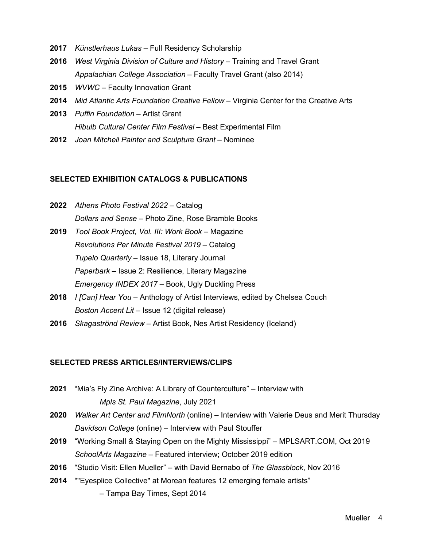- **2017** *Künstlerhaus Lukas* Full Residency Scholarship
- **2016** *West Virginia Division of Culture and History* Training and Travel Grant *Appalachian College Association* – Faculty Travel Grant (also 2014)
- **2015** *WVWC*  Faculty Innovation Grant
- **2014** *Mid Atlantic Arts Foundation Creative Fellow*  Virginia Center for the Creative Arts
- **2013** *Puffin Foundation* Artist Grant *Hibulb Cultural Center Film Festival* – Best Experimental Film
- **2012** *Joan Mitchell Painter and Sculpture Grant* Nominee

# **SELECTED EXHIBITION CATALOGS & PUBLICATIONS**

- **2022** *Athens Photo Festival 2022* Catalog *Dollars and Sense* – Photo Zine, Rose Bramble Books
- **2019** *Tool Book Project, Vol. III: Work Book* Magazine *Revolutions Per Minute Festival 2019* – Catalog *Tupelo Quarterly* – Issue 18, Literary Journal *Paperbark* – Issue 2: Resilience, Literary Magazine *Emergency INDEX 2017* – Book, Ugly Duckling Press
- **2018** *I [Can] Hear You* Anthology of Artist Interviews, edited by Chelsea Couch *Boston Accent Lit* – Issue 12 (digital release)
- **2016** *Skagaströnd Review* Artist Book, Nes Artist Residency (Iceland)

### **SELECTED PRESS ARTICLES/INTERVIEWS/CLIPS**

- **2021** "Mia's Fly Zine Archive: A Library of Counterculture" Interview with *Mpls St. Paul Magazine*, July 2021
- **2020** *Walker Art Center and FilmNorth* (online) Interview with Valerie Deus and Merit Thursday *Davidson College* (online) – Interview with Paul Stouffer
- **2019** "Working Small & Staying Open on the Mighty Mississippi" MPLSART.COM, Oct 2019 *SchoolArts Magazine* – Featured interview; October 2019 edition
- **2016** "Studio Visit: Ellen Mueller" with David Bernabo of *The Glassblock*, Nov 2016
- **2014** ""Eyesplice Collective" at Morean features 12 emerging female artists"
	- Tampa Bay Times, Sept 2014